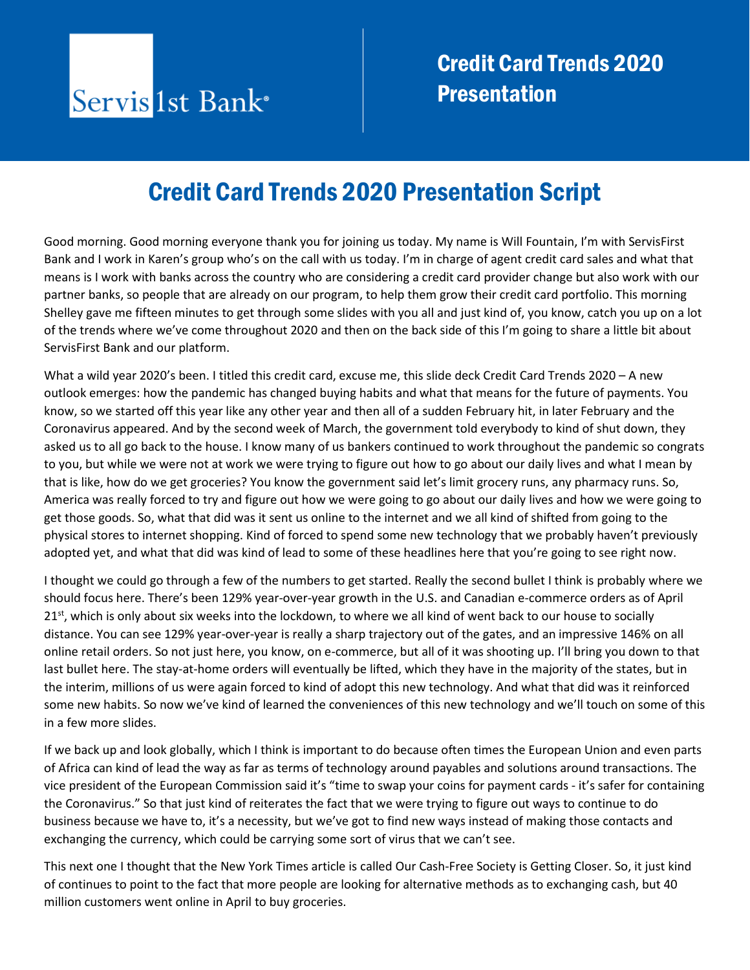### Credit Card Trends 2020 Presentation Script

Good morning. Good morning everyone thank you for joining us today. My name is Will Fountain, I'm with ServisFirst Bank and I work in Karen's group who's on the call with us today. I'm in charge of agent credit card sales and what that means is I work with banks across the country who are considering a credit card provider change but also work with our partner banks, so people that are already on our program, to help them grow their credit card portfolio. This morning Shelley gave me fifteen minutes to get through some slides with you all and just kind of, you know, catch you up on a lot of the trends where we've come throughout 2020 and then on the back side of this I'm going to share a little bit about ServisFirst Bank and our platform.

What a wild year 2020's been. I titled this credit card, excuse me, this slide deck Credit Card Trends 2020 – A new outlook emerges: how the pandemic has changed buying habits and what that means for the future of payments. You know, so we started off this year like any other year and then all of a sudden February hit, in later February and the Coronavirus appeared. And by the second week of March, the government told everybody to kind of shut down, they asked us to all go back to the house. I know many of us bankers continued to work throughout the pandemic so congrats to you, but while we were not at work we were trying to figure out how to go about our daily lives and what I mean by that is like, how do we get groceries? You know the government said let's limit grocery runs, any pharmacy runs. So, America was really forced to try and figure out how we were going to go about our daily lives and how we were going to get those goods. So, what that did was it sent us online to the internet and we all kind of shifted from going to the physical stores to internet shopping. Kind of forced to spend some new technology that we probably haven't previously adopted yet, and what that did was kind of lead to some of these headlines here that you're going to see right now.

I thought we could go through a few of the numbers to get started. Really the second bullet I think is probably where we should focus here. There's been 129% year-over-year growth in the U.S. and Canadian e-commerce orders as of April  $21<sup>st</sup>$ , which is only about six weeks into the lockdown, to where we all kind of went back to our house to socially distance. You can see 129% year-over-year is really a sharp trajectory out of the gates, and an impressive 146% on all online retail orders. So not just here, you know, on e-commerce, but all of it was shooting up. I'll bring you down to that last bullet here. The stay-at-home orders will eventually be lifted, which they have in the majority of the states, but in the interim, millions of us were again forced to kind of adopt this new technology. And what that did was it reinforced some new habits. So now we've kind of learned the conveniences of this new technology and we'll touch on some of this in a few more slides.

If we back up and look globally, which I think is important to do because often times the European Union and even parts of Africa can kind of lead the way as far as terms of technology around payables and solutions around transactions. The vice president of the European Commission said it's "time to swap your coins for payment cards - it's safer for containing the Coronavirus." So that just kind of reiterates the fact that we were trying to figure out ways to continue to do business because we have to, it's a necessity, but we've got to find new ways instead of making those contacts and exchanging the currency, which could be carrying some sort of virus that we can't see.

This next one I thought that the New York Times article is called Our Cash-Free Society is Getting Closer. So, it just kind of continues to point to the fact that more people are looking for alternative methods as to exchanging cash, but 40 million customers went online in April to buy groceries.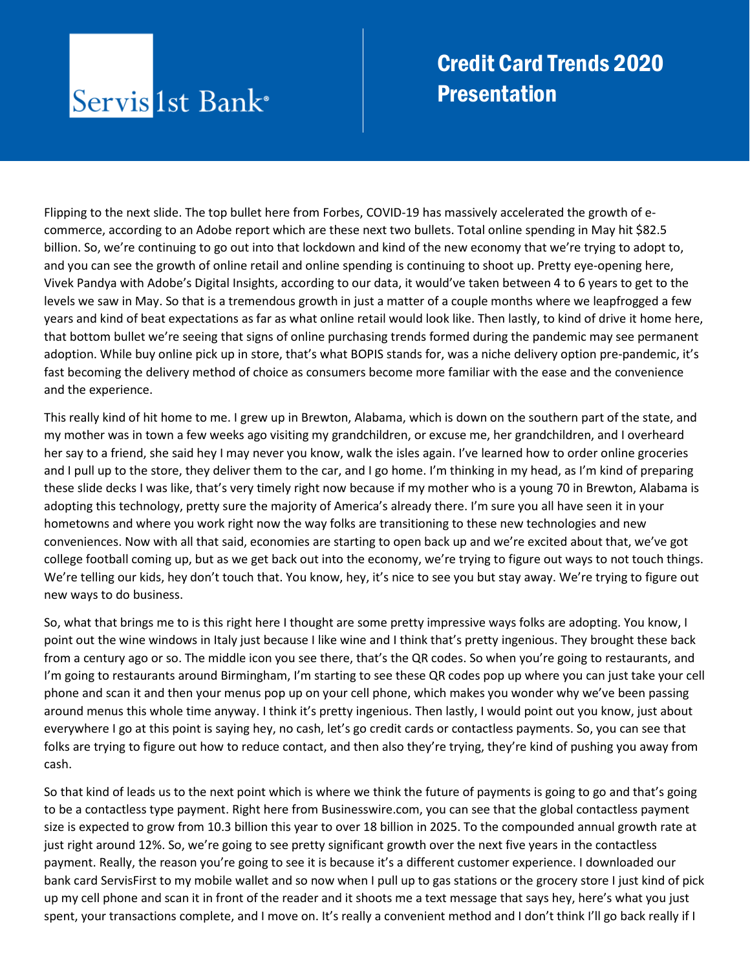#### **Credit Card Trends 2020 Presentation**

Flipping to the next slide. The top bullet here from Forbes, COVID-19 has massively accelerated the growth of ecommerce, according to an Adobe report which are these next two bullets. Total online spending in May hit \$82.5 billion. So, we're continuing to go out into that lockdown and kind of the new economy that we're trying to adopt to, and you can see the growth of online retail and online spending is continuing to shoot up. Pretty eye-opening here, Vivek Pandya with Adobe's Digital Insights, according to our data, it would've taken between 4 to 6 years to get to the levels we saw in May. So that is a tremendous growth in just a matter of a couple months where we leapfrogged a few years and kind of beat expectations as far as what online retail would look like. Then lastly, to kind of drive it home here, that bottom bullet we're seeing that signs of online purchasing trends formed during the pandemic may see permanent adoption. While buy online pick up in store, that's what BOPIS stands for, was a niche delivery option pre-pandemic, it's fast becoming the delivery method of choice as consumers become more familiar with the ease and the convenience and the experience.

This really kind of hit home to me. I grew up in Brewton, Alabama, which is down on the southern part of the state, and my mother was in town a few weeks ago visiting my grandchildren, or excuse me, her grandchildren, and I overheard her say to a friend, she said hey I may never you know, walk the isles again. I've learned how to order online groceries and I pull up to the store, they deliver them to the car, and I go home. I'm thinking in my head, as I'm kind of preparing these slide decks I was like, that's very timely right now because if my mother who is a young 70 in Brewton, Alabama is adopting this technology, pretty sure the majority of America's already there. I'm sure you all have seen it in your hometowns and where you work right now the way folks are transitioning to these new technologies and new conveniences. Now with all that said, economies are starting to open back up and we're excited about that, we've got college football coming up, but as we get back out into the economy, we're trying to figure out ways to not touch things. We're telling our kids, hey don't touch that. You know, hey, it's nice to see you but stay away. We're trying to figure out new ways to do business.

So, what that brings me to is this right here I thought are some pretty impressive ways folks are adopting. You know, I point out the wine windows in Italy just because I like wine and I think that's pretty ingenious. They brought these back from a century ago or so. The middle icon you see there, that's the QR codes. So when you're going to restaurants, and I'm going to restaurants around Birmingham, I'm starting to see these QR codes pop up where you can just take your cell phone and scan it and then your menus pop up on your cell phone, which makes you wonder why we've been passing around menus this whole time anyway. I think it's pretty ingenious. Then lastly, I would point out you know, just about everywhere I go at this point is saying hey, no cash, let's go credit cards or contactless payments. So, you can see that folks are trying to figure out how to reduce contact, and then also they're trying, they're kind of pushing you away from cash.

So that kind of leads us to the next point which is where we think the future of payments is going to go and that's going to be a contactless type payment. Right here from Businesswire.com, you can see that the global contactless payment size is expected to grow from 10.3 billion this year to over 18 billion in 2025. To the compounded annual growth rate at just right around 12%. So, we're going to see pretty significant growth over the next five years in the contactless payment. Really, the reason you're going to see it is because it's a different customer experience. I downloaded our bank card ServisFirst to my mobile wallet and so now when I pull up to gas stations or the grocery store I just kind of pick up my cell phone and scan it in front of the reader and it shoots me a text message that says hey, here's what you just spent, your transactions complete, and I move on. It's really a convenient method and I don't think I'll go back really if I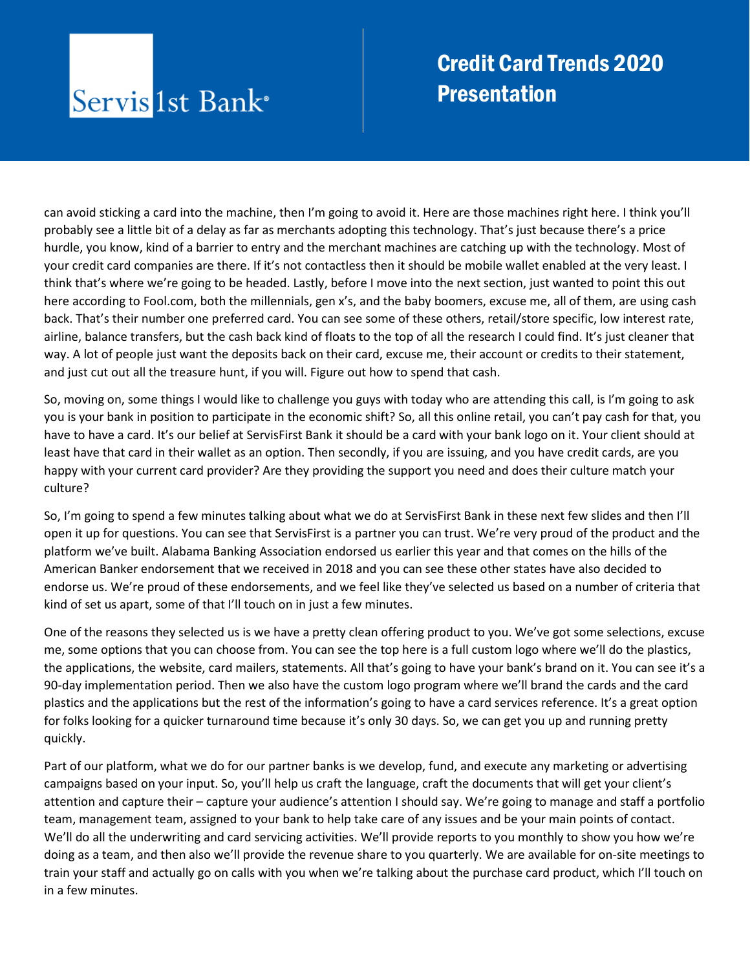#### **Credit Card Trends 2020 Presentation**

can avoid sticking a card into the machine, then I'm going to avoid it. Here are those machines right here. I think you'll probably see a little bit of a delay as far as merchants adopting this technology. That's just because there's a price hurdle, you know, kind of a barrier to entry and the merchant machines are catching up with the technology. Most of your credit card companies are there. If it's not contactless then it should be mobile wallet enabled at the very least. I think that's where we're going to be headed. Lastly, before I move into the next section, just wanted to point this out here according to Fool.com, both the millennials, gen x's, and the baby boomers, excuse me, all of them, are using cash back. That's their number one preferred card. You can see some of these others, retail/store specific, low interest rate, airline, balance transfers, but the cash back kind of floats to the top of all the research I could find. It's just cleaner that way. A lot of people just want the deposits back on their card, excuse me, their account or credits to their statement, and just cut out all the treasure hunt, if you will. Figure out how to spend that cash.

So, moving on, some things I would like to challenge you guys with today who are attending this call, is I'm going to ask you is your bank in position to participate in the economic shift? So, all this online retail, you can't pay cash for that, you have to have a card. It's our belief at ServisFirst Bank it should be a card with your bank logo on it. Your client should at least have that card in their wallet as an option. Then secondly, if you are issuing, and you have credit cards, are you happy with your current card provider? Are they providing the support you need and does their culture match your culture?

So, I'm going to spend a few minutes talking about what we do at ServisFirst Bank in these next few slides and then I'll open it up for questions. You can see that ServisFirst is a partner you can trust. We're very proud of the product and the platform we've built. Alabama Banking Association endorsed us earlier this year and that comes on the hills of the American Banker endorsement that we received in 2018 and you can see these other states have also decided to endorse us. We're proud of these endorsements, and we feel like they've selected us based on a number of criteria that kind of set us apart, some of that I'll touch on in just a few minutes.

One of the reasons they selected us is we have a pretty clean offering product to you. We've got some selections, excuse me, some options that you can choose from. You can see the top here is a full custom logo where we'll do the plastics, the applications, the website, card mailers, statements. All that's going to have your bank's brand on it. You can see it's a 90-day implementation period. Then we also have the custom logo program where we'll brand the cards and the card plastics and the applications but the rest of the information's going to have a card services reference. It's a great option for folks looking for a quicker turnaround time because it's only 30 days. So, we can get you up and running pretty quickly.

Part of our platform, what we do for our partner banks is we develop, fund, and execute any marketing or advertising campaigns based on your input. So, you'll help us craft the language, craft the documents that will get your client's attention and capture their – capture your audience's attention I should say. We're going to manage and staff a portfolio team, management team, assigned to your bank to help take care of any issues and be your main points of contact. We'll do all the underwriting and card servicing activities. We'll provide reports to you monthly to show you how we're doing as a team, and then also we'll provide the revenue share to you quarterly. We are available for on-site meetings to train your staff and actually go on calls with you when we're talking about the purchase card product, which I'll touch on in a few minutes.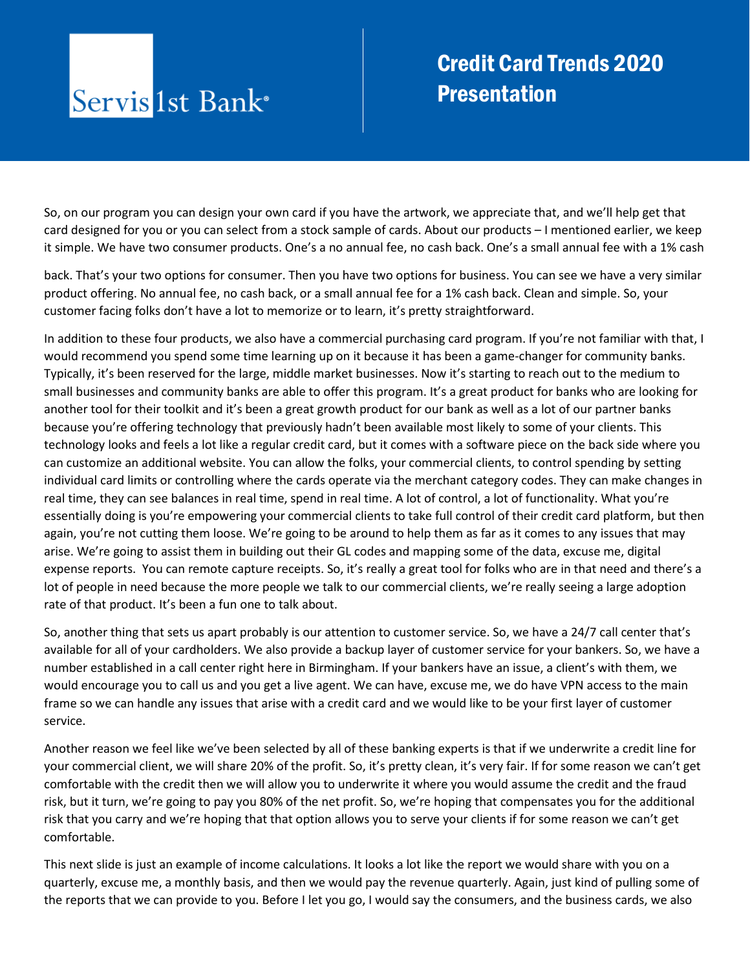#### **Credit Card Trends 2020 Presentation**

So, on our program you can design your own card if you have the artwork, we appreciate that, and we'll help get that card designed for you or you can select from a stock sample of cards. About our products – I mentioned earlier, we keep it simple. We have two consumer products. One's a no annual fee, no cash back. One's a small annual fee with a 1% cash

back. That's your two options for consumer. Then you have two options for business. You can see we have a very similar product offering. No annual fee, no cash back, or a small annual fee for a 1% cash back. Clean and simple. So, your customer facing folks don't have a lot to memorize or to learn, it's pretty straightforward.

In addition to these four products, we also have a commercial purchasing card program. If you're not familiar with that, I would recommend you spend some time learning up on it because it has been a game-changer for community banks. Typically, it's been reserved for the large, middle market businesses. Now it's starting to reach out to the medium to small businesses and community banks are able to offer this program. It's a great product for banks who are looking for another tool for their toolkit and it's been a great growth product for our bank as well as a lot of our partner banks because you're offering technology that previously hadn't been available most likely to some of your clients. This technology looks and feels a lot like a regular credit card, but it comes with a software piece on the back side where you can customize an additional website. You can allow the folks, your commercial clients, to control spending by setting individual card limits or controlling where the cards operate via the merchant category codes. They can make changes in real time, they can see balances in real time, spend in real time. A lot of control, a lot of functionality. What you're essentially doing is you're empowering your commercial clients to take full control of their credit card platform, but then again, you're not cutting them loose. We're going to be around to help them as far as it comes to any issues that may arise. We're going to assist them in building out their GL codes and mapping some of the data, excuse me, digital expense reports. You can remote capture receipts. So, it's really a great tool for folks who are in that need and there's a lot of people in need because the more people we talk to our commercial clients, we're really seeing a large adoption rate of that product. It's been a fun one to talk about.

So, another thing that sets us apart probably is our attention to customer service. So, we have a 24/7 call center that's available for all of your cardholders. We also provide a backup layer of customer service for your bankers. So, we have a number established in a call center right here in Birmingham. If your bankers have an issue, a client's with them, we would encourage you to call us and you get a live agent. We can have, excuse me, we do have VPN access to the main frame so we can handle any issues that arise with a credit card and we would like to be your first layer of customer service.

Another reason we feel like we've been selected by all of these banking experts is that if we underwrite a credit line for your commercial client, we will share 20% of the profit. So, it's pretty clean, it's very fair. If for some reason we can't get comfortable with the credit then we will allow you to underwrite it where you would assume the credit and the fraud risk, but it turn, we're going to pay you 80% of the net profit. So, we're hoping that compensates you for the additional risk that you carry and we're hoping that that option allows you to serve your clients if for some reason we can't get comfortable.

This next slide is just an example of income calculations. It looks a lot like the report we would share with you on a quarterly, excuse me, a monthly basis, and then we would pay the revenue quarterly. Again, just kind of pulling some of the reports that we can provide to you. Before I let you go, I would say the consumers, and the business cards, we also